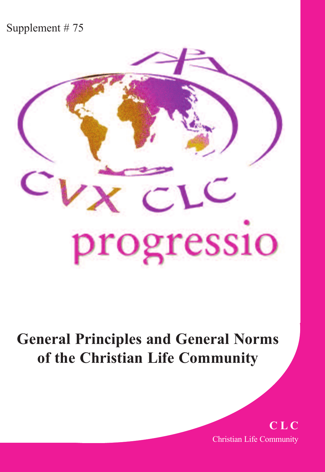#### Supplement # 75



## **General Principles and General Norms of the Christian Life Community**

**C L C** Christian Life Community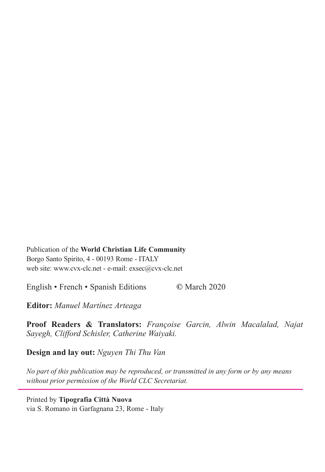Publication of the **World Christian Life Community** Borgo Santo Spirito, 4 - 00193 Rome - ITALY web site: www.cvx-clc.net - e-mail: exsec@cvx-clc.net

English • French • Spanish Editions **©** March 2020

**Editor:** *Manuel Martínez Arteaga*

**Proof Readers & Translators:** *Françoise Garcin, Alwin Macalalad, Najat Sayegh, Clifford Schisler, Catherine Waiyaki.*

**Design and lay out:** *Nguyen Thi Thu Van*

*No part of this publication may be reproduced, or transmitted in any form or by any means without prior permission of the World CLC Secretariat.*

Printed by **Tipografia Città Nuova** via S. Romano in Garfagnana 23, Rome - Italy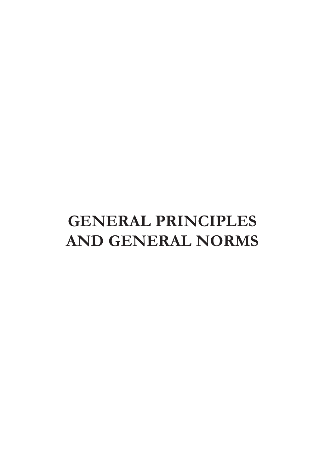# **GENERAL PRINCIPLES AND GENERAL NORMS**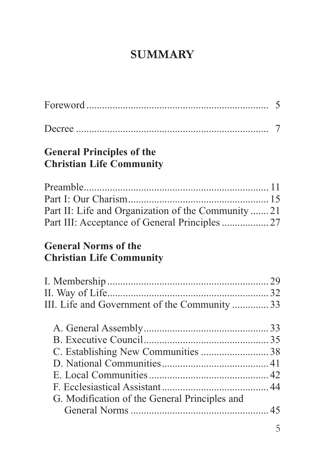## **SUMMARY**

| <b>General Principles of the</b><br><b>Christian Life Community</b>                                   |  |
|-------------------------------------------------------------------------------------------------------|--|
| Part II: Life and Organization of the Community  21<br>Part III: Acceptance of General Principles  27 |  |
| <b>General Norms of the</b><br><b>Christian Life Community</b>                                        |  |
|                                                                                                       |  |
|                                                                                                       |  |
| III. Life and Government of the Community 33                                                          |  |
|                                                                                                       |  |
|                                                                                                       |  |
| C. Establishing New Communities 38                                                                    |  |
|                                                                                                       |  |
|                                                                                                       |  |
|                                                                                                       |  |
| G. Modification of the General Principles and                                                         |  |
|                                                                                                       |  |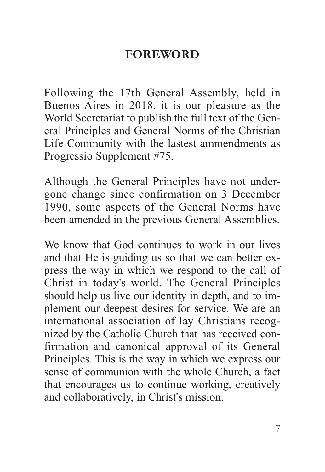### **FOREWORD**

Following the 17th General Assembly, held in Buenos Aires in 2018, it is our pleasure as the World Secretariat to publish the full text of the General Principles and General Norms of the Christian Life Community with the lastest ammendments as Progressio Supplement #75.

although the General Principles have not undergone change since confirmation on 3 December 1990, some aspects of the General Norms have been amended in the previous General Assemblies.

We know that God continues to work in our lives and that He is guiding us so that we can better express the way in which we respond to the call of Christ in today's world. The General Principles should help us live our identity in depth, and to implement our deepest desires for service. We are an international association of lay Christians recognized by the Catholic Church that has received confirmation and canonical approval of its General Principles. This is the way in which we express our sense of communion with the whole Church, a fact that encourages us to continue working, creatively and collaboratively, in Christ's mission.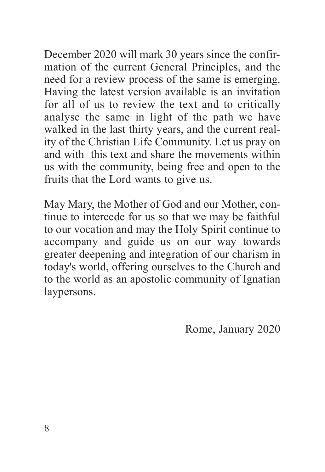December 2020 will mark 30 years since the confirmation of the current General Principles, and the need for a review process of the same is emerging. Having the latest version available is an invitation for all of us to review the text and to critically analyse the same in light of the path we have walked in the last thirty years, and the current reality of the Christian Life Community. Let us pray on and with this text and share the movements within us with the community, being free and open to the fruits that the Lord wants to give us.

May Mary, the Mother of God and our Mother, continue to intercede for us so that we may be faithful to our vocation and may the Holy Spirit continue to accompany and guide us on our way towards greater deepening and integration of our charism in today's world, offering ourselves to the Church and to the world as an apostolic community of Ignatian laypersons.

Rome, January 2020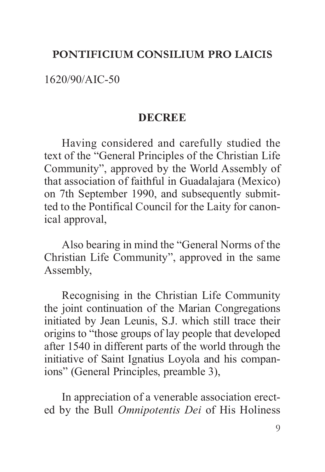#### **PONTIFICIUM CONSILIUM PRO LAICIS**

1620/90/aIC-50

#### **DECREE**

Having considered and carefully studied the text of the "General Principles of the Christian Life Community", approved by the World assembly of that association of faithful in Guadalajara (Mexico) on 7th September 1990, and subsequently submitted to the Pontifical Council for the Laity for canonical approval,

also bearing in mind the "General Norms of the Christian Life Community", approved in the same Assembly.

Recognising in the Christian Life Community the joint continuation of the Marian Congregations initiated by Jean Leunis, S.J. which still trace their origins to "those groups of lay people that developed after 1540 in different parts of the world through the initiative of Saint Ignatius Loyola and his companions" (General Principles, preamble 3),

In appreciation of a venerable association erected by the Bull *Omnipotentis Dei* of His Holiness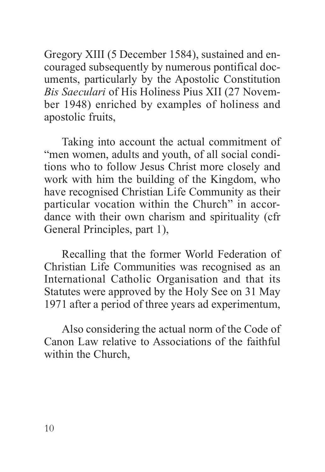Gregory XIII (5 December 1584), sustained and encouraged subsequently by numerous pontifical documents, particularly by the apostolic Constitution *Bis Saeculari* of His Holiness Pius XII (27 November 1948) enriched by examples of holiness and apostolic fruits,

Taking into account the actual commitment of "men women, adults and youth, of all social conditions who to follow Jesus Christ more closely and work with him the building of the Kingdom, who have recognised Christian Life Community as their particular vocation within the Church" in accordance with their own charism and spirituality (cfr General Principles, part 1),

Recalling that the former World Federation of Christian Life Communities was recognised as an International Catholic Organisation and that its Statutes were approved by the Holy See on 31 May 1971 after a period of three years ad experimentum,

also considering the actual norm of the Code of Canon Law relative to Associations of the faithful within the Church,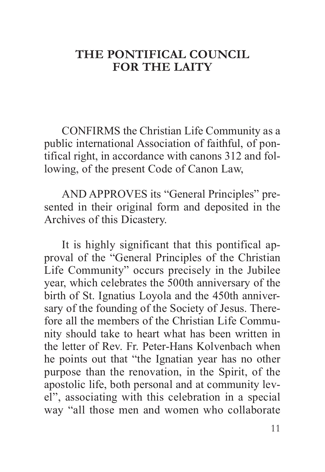#### **THE PONTIFICAL COUNCIL FOR THE LAITY**

CONFIRMS the Christian Life Community as a public international Association of faithful, of pontifical right, in accordance with canons 312 and following, of the present Code of Canon Law,

aND aPPROVES its "General Principles" presented in their original form and deposited in the Archives of this Dicastery.

It is highly significant that this pontifical approval of the "General Principles of the Christian Life Community" occurs precisely in the Jubilee year, which celebrates the 500th anniversary of the birth of St. Ignatius Loyola and the 450th anniversary of the founding of the Society of Jesus. Therefore all the members of the Christian Life Community should take to heart what has been written in the letter of Rev. Fr. Peter-Hans Kolvenbach when he points out that "the Ignatian year has no other purpose than the renovation, in the Spirit, of the apostolic life, both personal and at community level", associating with this celebration in a special way "all those men and women who collaborate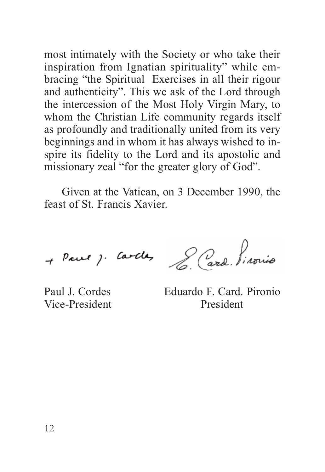most intimately with the Society or who take their inspiration from Ignatian spirituality" while embracing "the Spiritual Exercises in all their rigour and authenticity". This we ask of the Lord through the intercession of the Most Holy Virgin Mary, to whom the Christian Life community regards itself as profoundly and traditionally united from its very beginnings and in whom it has always wished to inspire its fidelity to the Lord and its apostolic and missionary zeal "for the greater glory of God".

Given at the Vatican, on 3 December 1990, the feast of St. Francis Xavier.

+ Paul ) Cardes Lard Pirovio

Paul J. Cordes Eduardo F. Card. Pironio Vice-President President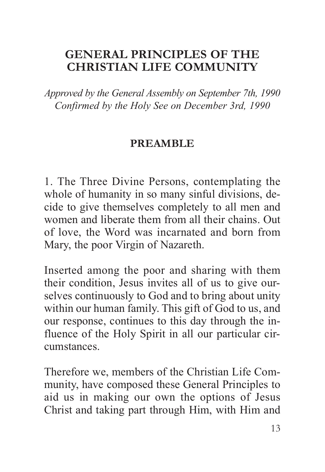### **GENERAL PRINCIPLES OF THE CHRISTIAN LIFE COMMUNITY**

*Approved by the General Assembly on September 7th, 1990 Confirmed by the Holy See on December 3rd, 1990*

#### **PREAMBLE**

1. The Three Divine Persons, contemplating the whole of humanity in so many sinful divisions, decide to give themselves completely to all men and women and liberate them from all their chains. Out of love, the Word was incarnated and born from Mary, the poor Virgin of Nazareth.

Inserted among the poor and sharing with them their condition, Jesus invites all of us to give ourselves continuously to God and to bring about unity within our human family. This gift of God to us, and our response, continues to this day through the influence of the Holy Spirit in all our particular circumstances.

Therefore we, members of the Christian Life Community, have composed these General Principles to aid us in making our own the options of Jesus Christ and taking part through Him, with Him and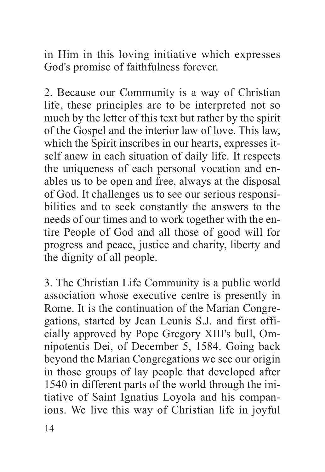in Him in this loving initiative which expresses God's promise of faithfulness forever.

2. Because our Community is a way of Christian life, these principles are to be interpreted not so much by the letter of this text but rather by the spirit of the Gospel and the interior law of love. this law, which the Spirit inscribes in our hearts, expresses itself anew in each situation of daily life. It respects the uniqueness of each personal vocation and enables us to be open and free, always at the disposal of God. It challenges us to see our serious responsibilities and to seek constantly the answers to the needs of our times and to work together with the entire People of God and all those of good will for progress and peace, justice and charity, liberty and the dignity of all people.

3. the Christian Life Community is a public world association whose executive centre is presently in Rome. It is the continuation of the Marian Congregations, started by Jean Leunis S.J. and first officially approved by Pope Gregory XIII's bull, Omnipotentis Dei, of December 5, 1584. Going back beyond the Marian Congregations we see our origin in those groups of lay people that developed after 1540 in different parts of the world through the initiative of Saint Ignatius Loyola and his companions. We live this way of Christian life in joyful

14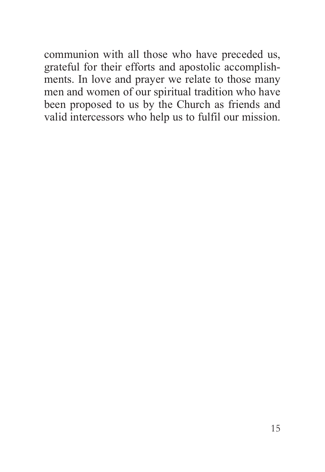communion with all those who have preceded us, grateful for their efforts and apostolic accomplishments. In love and prayer we relate to those many men and women of our spiritual tradition who have been proposed to us by the Church as friends and valid intercessors who help us to fulfil our mission.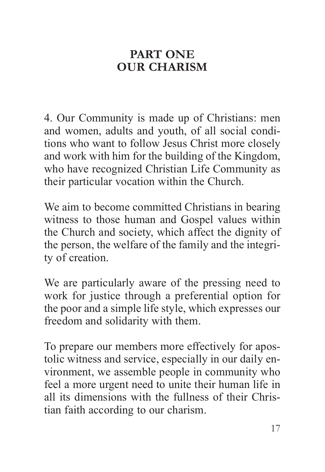## **PART ONE OUR CHARISM**

4. Our Community is made up of Christians: men and women, adults and youth, of all social conditions who want to follow Jesus Christ more closely and work with him for the building of the Kingdom, who have recognized Christian Life Community as their particular vocation within the Church.

We aim to become committed Christians in bearing witness to those human and Gospel values within the Church and society, which affect the dignity of the person, the welfare of the family and the integrity of creation.

We are particularly aware of the pressing need to work for justice through a preferential option for the poor and a simple life style, which expresses our freedom and solidarity with them.

To prepare our members more effectively for apostolic witness and service, especially in our daily environment, we assemble people in community who feel a more urgent need to unite their human life in all its dimensions with the fullness of their Christian faith according to our charism.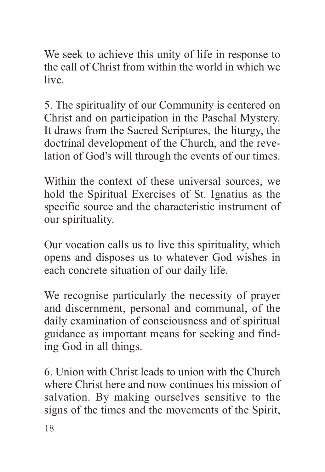We seek to achieve this unity of life in response to the call of Christ from within the world in which we live.

5. the spirituality of our Community is centered on Christ and on participation in the Paschal Mystery. It draws from the Sacred Scriptures, the liturgy, the doctrinal development of the Church, and the revelation of God's will through the events of our times.

Within the context of these universal sources, we hold the Spiritual Exercises of St. Ignatius as the specific source and the characteristic instrument of our spirituality.

Our vocation calls us to live this spirituality, which opens and disposes us to whatever God wishes in each concrete situation of our daily life.

We recognise particularly the necessity of prayer and discernment, personal and communal, of the daily examination of consciousness and of spiritual guidance as important means for seeking and finding God in all things.

6. Union with Christ leads to union with the Church where Christ here and now continues his mission of salvation. By making ourselves sensitive to the signs of the times and the movements of the Spirit,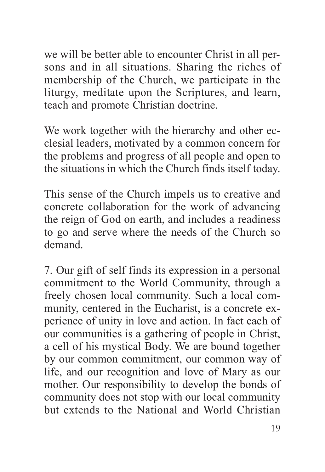we will be better able to encounter Christ in all persons and in all situations. Sharing the riches of membership of the Church, we participate in the liturgy, meditate upon the Scriptures, and learn, teach and promote Christian doctrine.

We work together with the hierarchy and other ecclesial leaders, motivated by a common concern for the problems and progress of all people and open to the situations in which the Church finds itself today.

This sense of the Church impels us to creative and concrete collaboration for the work of advancing the reign of God on earth, and includes a readiness to go and serve where the needs of the Church so demand.

7. Our gift of self finds its expression in a personal commitment to the World Community, through a freely chosen local community. Such a local community, centered in the Eucharist, is a concrete experience of unity in love and action. In fact each of our communities is a gathering of people in Christ, a cell of his mystical Body. We are bound together by our common commitment, our common way of life, and our recognition and love of Mary as our mother. Our responsibility to develop the bonds of community does not stop with our local community but extends to the National and World Christian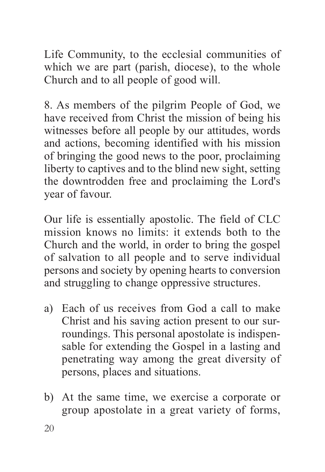Life Community, to the ecclesial communities of which we are part (parish, diocese), to the whole Church and to all people of good will.

8. as members of the pilgrim People of God, we have received from Christ the mission of being his witnesses before all people by our attitudes, words and actions, becoming identified with his mission of bringing the good news to the poor, proclaiming liberty to captives and to the blind new sight, setting the downtrodden free and proclaiming the Lord's year of favour.

Our life is essentially apostolic. The field of CLC mission knows no limits: it extends both to the Church and the world, in order to bring the gospel of salvation to all people and to serve individual persons and society by opening hearts to conversion and struggling to change oppressive structures.

- a) Each of us receives from God a call to make Christ and his saving action present to our surroundings. This personal apostolate is indispensable for extending the Gospel in a lasting and penetrating way among the great diversity of persons, places and situations.
- b) at the same time, we exercise a corporate or group apostolate in a great variety of forms,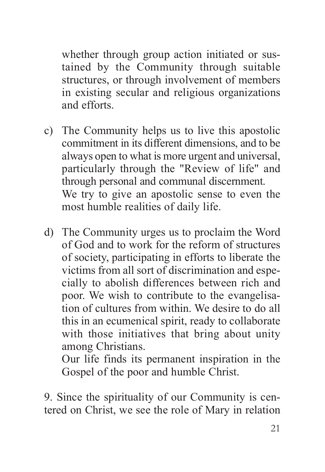whether through group action initiated or sustained by the Community through suitable structures, or through involvement of members in existing secular and religious organizations and efforts.

- c) the Community helps us to live this apostolic commitment in its different dimensions, and to be always open to what is more urgent and universal, particularly through the "Review of life" and through personal and communal discernment. We try to give an apostolic sense to even the most humble realities of daily life.
- d) the Community urges us to proclaim the Word of God and to work for the reform of structures of society, participating in efforts to liberate the victims from all sort of discrimination and especially to abolish differences between rich and poor. We wish to contribute to the evangelisation of cultures from within. We desire to do all this in an ecumenical spirit, ready to collaborate with those initiatives that bring about unity among Christians.

Our life finds its permanent inspiration in the Gospel of the poor and humble Christ.

9. Since the spirituality of our Community is centered on Christ, we see the role of Mary in relation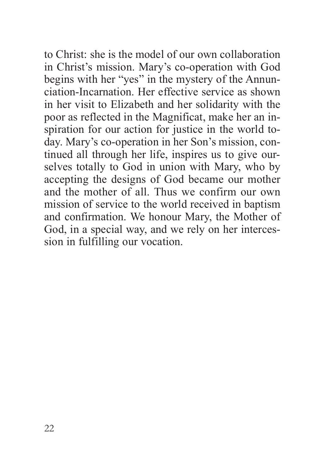to Christ: she is the model of our own collaboration in Christ's mission. Mary's co-operation with God begins with her "yes" in the mystery of the Annunciation-Incarnation. Her effective service as shown in her visit to Elizabeth and her solidarity with the poor as reflected in the Magnificat, make her an inspiration for our action for justice in the world today. Mary's co-operation in her Son's mission, continued all through her life, inspires us to give ourselves totally to God in union with Mary, who by accepting the designs of God became our mother and the mother of all. Thus we confirm our own mission of service to the world received in baptism and confirmation. We honour Mary, the Mother of God, in a special way, and we rely on her intercession in fulfilling our vocation.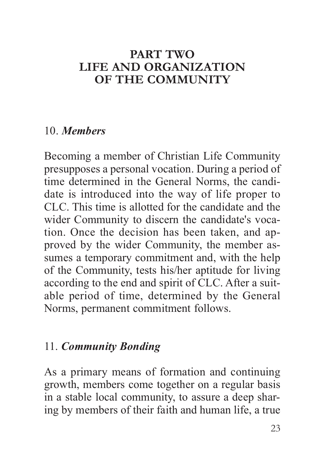#### **PART TWO LIFE AND ORGANIZATION OF THE COMMUNITY**

#### 10. *Members*

Becoming a member of Christian Life Community presupposes a personal vocation. During a period of time determined in the General Norms, the candidate is introduced into the way of life proper to CLC. this time is allotted for the candidate and the wider Community to discern the candidate's vocation. Once the decision has been taken, and approved by the wider Community, the member assumes a temporary commitment and, with the help of the Community, tests his/her aptitude for living according to the end and spirit of CLC. after a suitable period of time, determined by the General Norms, permanent commitment follows.

#### 11. *Community Bonding*

As a primary means of formation and continuing growth, members come together on a regular basis in a stable local community, to assure a deep sharing by members of their faith and human life, a true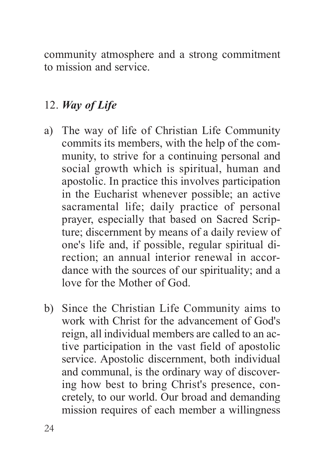community atmosphere and a strong commitment to mission and service.

## 12. *Way of Life*

- a) The way of life of Christian Life Community commits its members, with the help of the community, to strive for a continuing personal and social growth which is spiritual, human and apostolic. In practice this involves participation in the Eucharist whenever possible; an active sacramental life; daily practice of personal prayer, especially that based on Sacred Scripture; discernment by means of a daily review of one's life and, if possible, regular spiritual direction; an annual interior renewal in accordance with the sources of our spirituality; and a love for the Mother of God.
- b) Since the Christian Life Community aims to work with Christ for the advancement of God's reign, all individual members are called to an active participation in the vast field of apostolic service. Apostolic discernment, both individual and communal, is the ordinary way of discovering how best to bring Christ's presence, concretely, to our world. Our broad and demanding mission requires of each member a willingness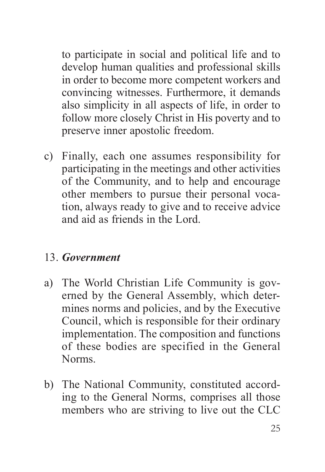to participate in social and political life and to develop human qualities and professional skills in order to become more competent workers and convincing witnesses. Furthermore, it demands also simplicity in all aspects of life, in order to follow more closely Christ in His poverty and to preserve inner apostolic freedom.

c) Finally, each one assumes responsibility for participating in the meetings and other activities of the Community, and to help and encourage other members to pursue their personal vocation, always ready to give and to receive advice and aid as friends in the Lord.

#### 13. *Government*

- a) The World Christian Life Community is governed by the General Assembly, which determines norms and policies, and by the Executive Council, which is responsible for their ordinary implementation. The composition and functions of these bodies are specified in the General Norms.
- b) The National Community, constituted according to the General Norms, comprises all those members who are striving to live out the CLC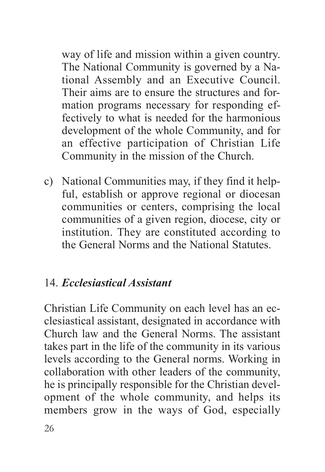way of life and mission within a given country. The National Community is governed by a National Assembly and an Executive Council. Their aims are to ensure the structures and formation programs necessary for responding effectively to what is needed for the harmonious development of the whole Community, and for an effective participation of Christian Life Community in the mission of the Church.

c) National Communities may, if they find it helpful, establish or approve regional or diocesan communities or centers, comprising the local communities of a given region, diocese, city or institution. They are constituted according to the General Norms and the National Statutes.

#### 14. *Ecclesiastical Assistant*

Christian Life Community on each level has an ecclesiastical assistant, designated in accordance with Church law and the General Norms. The assistant takes part in the life of the community in its various levels according to the General norms. Working in collaboration with other leaders of the community, he is principally responsible for the Christian development of the whole community, and helps its members grow in the ways of God, especially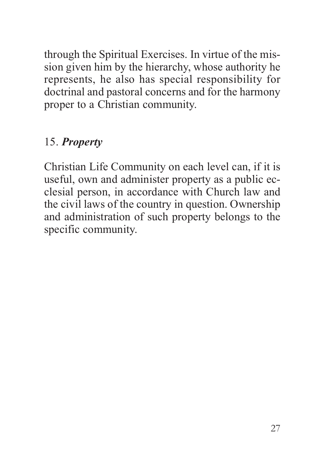through the Spiritual Exercises. In virtue of the mission given him by the hierarchy, whose authority he represents, he also has special responsibility for doctrinal and pastoral concerns and for the harmony proper to a Christian community.

## 15. *Property*

Christian Life Community on each level can, if it is useful, own and administer property as a public ecclesial person, in accordance with Church law and the civil laws of the country in question. Ownership and administration of such property belongs to the specific community.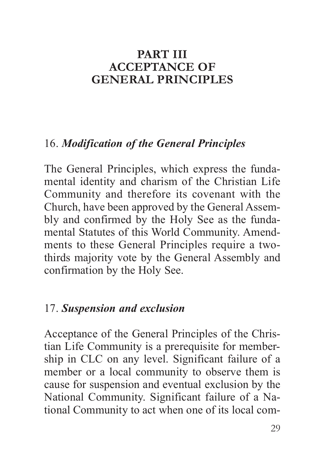#### **PART III ACCEPTANCE OF GENERAL PRINCIPLES**

#### 16. *Modification of the General Principles*

The General Principles, which express the fundamental identity and charism of the Christian Life Community and therefore its covenant with the Church, have been approved by the General Assembly and confirmed by the Holy See as the fundamental Statutes of this World Community. Amendments to these General Principles require a twothirds majority vote by the General Assembly and confirmation by the Holy See.

#### 17. *Suspension and exclusion*

acceptance of the General Principles of the Christian Life Community is a prerequisite for membership in CLC on any level. Significant failure of a member or a local community to observe them is cause for suspension and eventual exclusion by the National Community. Significant failure of a National Community to act when one of its local com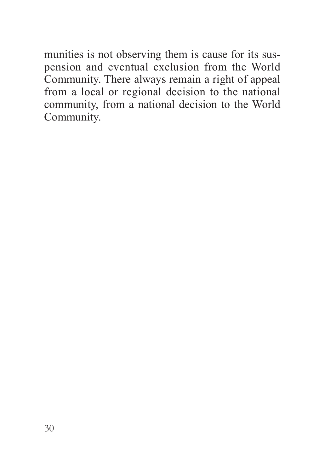munities is not observing them is cause for its suspension and eventual exclusion from the World Community. There always remain a right of appeal from a local or regional decision to the national community, from a national decision to the World Community.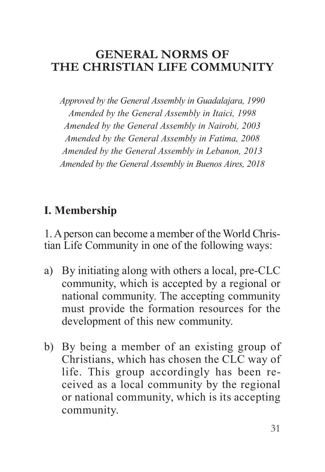#### **GENERAL NORMS OF THE CHRISTIAN LIFE COMMUNITY**

*Approved by the General Assembly in Guadalajara, 1990 Amended by the General Assembly in Itaici, 1998 Amended by the General Assembly in Nairobi, 2003 Amended by the General Assembly in Fatima, 2008 Amended by the General Assembly in Lebanon, 2013 Amended by the General Assembly in Buenos Aires, 2018*

## **I. Membership**

1. A person can become a member of the World Christian Life Community in one of the following ways:

- a) By initiating along with others a local, pre-CLC community, which is accepted by a regional or national community. The accepting community must provide the formation resources for the development of this new community.
- b) By being a member of an existing group of Christians, which has chosen the CLC way of life. This group accordingly has been received as a local community by the regional or national community, which is its accepting community.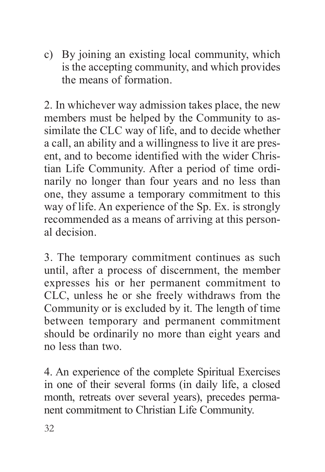c) By joining an existing local community, which is the accepting community, and which provides the means of formation.

2. In whichever way admission takes place, the new members must be helped by the Community to assimilate the CLC way of life, and to decide whether a call, an ability and a willingness to live it are present, and to become identified with the wider Christian Life Community. after a period of time ordinarily no longer than four years and no less than one, they assume a temporary commitment to this way of life. An experience of the Sp. Ex. is strongly recommended as a means of arriving at this personal decision.

3. The temporary commitment continues as such until, after a process of discernment, the member expresses his or her permanent commitment to CLC, unless he or she freely withdraws from the Community or is excluded by it. The length of time between temporary and permanent commitment should be ordinarily no more than eight years and no less than two.

4. an experience of the complete Spiritual Exercises in one of their several forms (in daily life, a closed month, retreats over several years), precedes permanent commitment to Christian Life Community.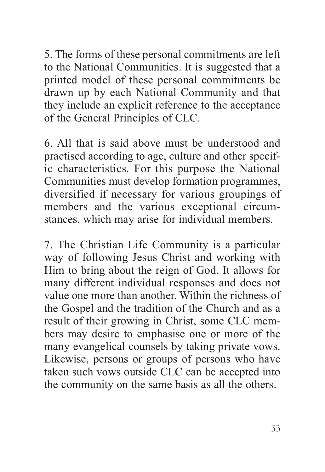5. the forms of these personal commitments are left to the National Communities. It is suggested that a printed model of these personal commitments be drawn up by each National Community and that they include an explicit reference to the acceptance of the General Principles of CLC.

6. all that is said above must be understood and practised according to age, culture and other specific characteristics. For this purpose the National Communities must develop formation programmes, diversified if necessary for various groupings of members and the various exceptional circumstances, which may arise for individual members.

7. the Christian Life Community is a particular way of following Jesus Christ and working with Him to bring about the reign of God. It allows for many different individual responses and does not value one more than another. Within the richness of the Gospel and the tradition of the Church and as a result of their growing in Christ, some CLC members may desire to emphasise one or more of the many evangelical counsels by taking private vows. Likewise, persons or groups of persons who have taken such vows outside CLC can be accepted into the community on the same basis as all the others.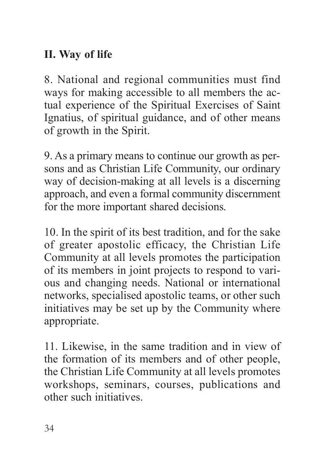## **II. Way of life**

8. National and regional communities must find ways for making accessible to all members the actual experience of the Spiritual Exercises of Saint Ignatius, of spiritual guidance, and of other means of growth in the Spirit.

9. As a primary means to continue our growth as persons and as Christian Life Community, our ordinary way of decision-making at all levels is a discerning approach, and even a formal community discernment for the more important shared decisions.

10. In the spirit of its best tradition, and for the sake of greater apostolic efficacy, the Christian Life Community at all levels promotes the participation of its members in joint projects to respond to various and changing needs. National or international networks, specialised apostolic teams, or other such initiatives may be set up by the Community where appropriate.

11. Likewise, in the same tradition and in view of the formation of its members and of other people, the Christian Life Community at all levels promotes workshops, seminars, courses, publications and other such initiatives.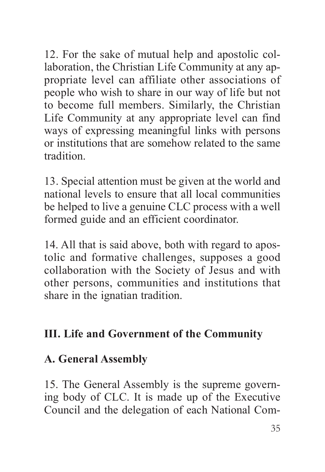12. For the sake of mutual help and apostolic collaboration, the Christian Life Community at any appropriate level can affiliate other associations of people who wish to share in our way of life but not to become full members. Similarly, the Christian Life Community at any appropriate level can find ways of expressing meaningful links with persons or institutions that are somehow related to the same tradition.

13. Special attention must be given at the world and national levels to ensure that all local communities be helped to live a genuine CLC process with a well formed guide and an efficient coordinator.

14. all that is said above, both with regard to apostolic and formative challenges, supposes a good collaboration with the Society of Jesus and with other persons, communities and institutions that share in the ignatian tradition.

## **III. Life and Government of the Community**

### **A. General Assembly**

15. The General Assembly is the supreme governing body of CLC. It is made up of the Executive Council and the delegation of each National Com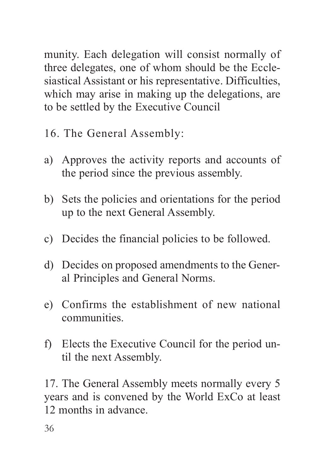munity. Each delegation will consist normally of three delegates, one of whom should be the Ecclesiastical Assistant or his representative. Difficulties, which may arise in making up the delegations, are to be settled by the Executive Council

- 16. The General Assembly:
- a) Approves the activity reports and accounts of the period since the previous assembly.
- b) Sets the policies and orientations for the period up to the next General Assembly.
- c) Decides the financial policies to be followed.
- d) Decides on proposed amendments to the General Principles and General Norms.
- e) Confirms the establishment of new national communities.
- f) Elects the Executive Council for the period until the next Assembly.

17. The General Assembly meets normally every 5 years and is convened by the World ExCo at least 12 months in advance.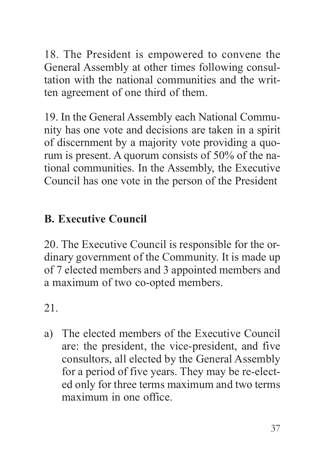18. the President is empowered to convene the General Assembly at other times following consultation with the national communities and the written agreement of one third of them.

19. In the General Assembly each National Community has one vote and decisions are taken in a spirit of discernment by a majority vote providing a quorum is present. A quorum consists of  $50\%$  of the national communities. In the Assembly, the Executive Council has one vote in the person of the President

## **B. Executive Council**

20. The Executive Council is responsible for the ordinary government of the Community. It is made up of 7 elected members and 3 appointed members and a maximum of two co-opted members.

21.

a) The elected members of the Executive Council are: the president, the vice-president, and five consultors, all elected by the General Assembly for a period of five years. They may be re-elected only for three terms maximum and two terms maximum in one office.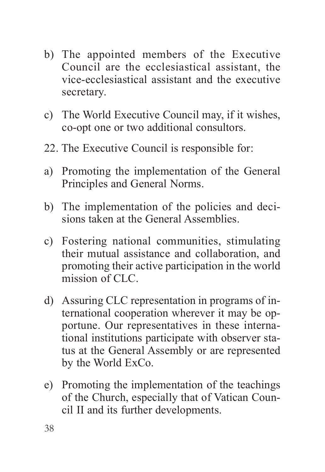- b) The appointed members of the Executive Council are the ecclesiastical assistant, the vice-ecclesiastical assistant and the executive secretary.
- c) the World Executive Council may, if it wishes, co-opt one or two additional consultors.
- 22. The Executive Council is responsible for:
- a) Promoting the implementation of the General Principles and General Norms.
- b) The implementation of the policies and decisions taken at the General Assemblies.
- c) Fostering national communities, stimulating their mutual assistance and collaboration, and promoting their active participation in the world mission of CLC.
- d) Assuring CLC representation in programs of international cooperation wherever it may be opportune. Our representatives in these international institutions participate with observer status at the General Assembly or are represented by the World ExCo.
- e) Promoting the implementation of the teachings of the Church, especially that of Vatican Council II and its further developments.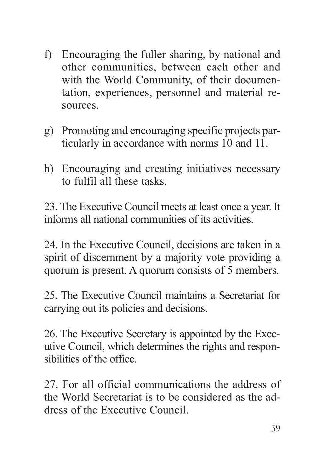- f) Encouraging the fuller sharing, by national and other communities, between each other and with the World Community, of their documentation, experiences, personnel and material resources.
- g) Promoting and encouraging specific projects particularly in accordance with norms 10 and 11.
- h) Encouraging and creating initiatives necessary to fulfil all these tasks.

23. The Executive Council meets at least once a year. It informs all national communities of its activities.

24. In the Executive Council, decisions are taken in a spirit of discernment by a majority vote providing a quorum is present. A quorum consists of 5 members.

25. The Executive Council maintains a Secretariat for carrying out its policies and decisions.

26. the Executive Secretary is appointed by the Executive Council, which determines the rights and responsibilities of the office.

27. For all official communications the address of the World Secretariat is to be considered as the address of the Executive Council.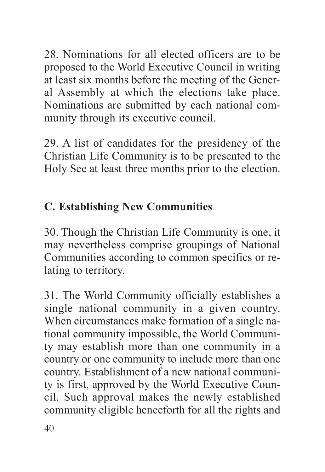28. Nominations for all elected officers are to be proposed to the World Executive Council in writing at least six months before the meeting of the General assembly at which the elections take place. Nominations are submitted by each national community through its executive council.

29. a list of candidates for the presidency of the Christian Life Community is to be presented to the Holy See at least three months prior to the election.

## **C. Establishing New Communities**

30. Though the Christian Life Community is one, it may nevertheless comprise groupings of National Communities according to common specifics or relating to territory.

31. the World Community officially establishes a single national community in a given country. When circumstances make formation of a single national community impossible, the World Community may establish more than one community in a country or one community to include more than one country. Establishment of a new national community is first, approved by the World Executive Council. Such approval makes the newly established community eligible henceforth for all the rights and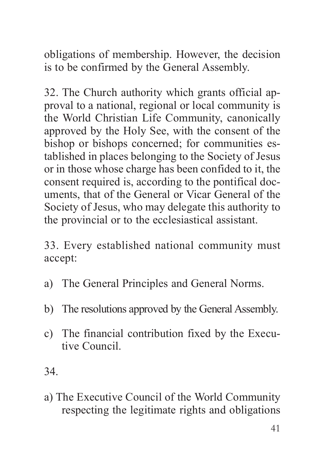obligations of membership. However, the decision is to be confirmed by the General Assembly.

32. The Church authority which grants official approval to a national, regional or local community is the World Christian Life Community, canonically approved by the Holy See, with the consent of the bishop or bishops concerned; for communities established in places belonging to the Society of Jesus or in those whose charge has been confided to it, the consent required is, according to the pontifical documents, that of the General or Vicar General of the Society of Jesus, who may delegate this authority to the provincial or to the ecclesiastical assistant.

33. Every established national community must accept:

- a) The General Principles and General Norms.
- b) The resolutions approved by the General Assembly.
- c) The financial contribution fixed by the Executive Council.

34.

a) The Executive Council of the World Community respecting the legitimate rights and obligations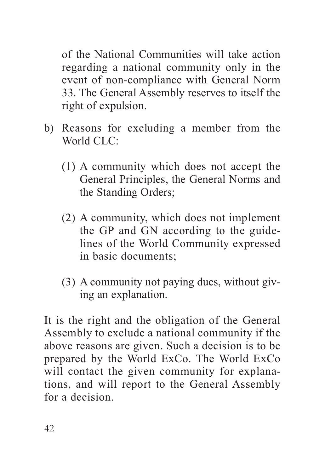of the National Communities will take action regarding a national community only in the event of non-compliance with General Norm 33. The General Assembly reserves to itself the right of expulsion.

- b) Reasons for excluding a member from the World CLC<sup>.</sup>
	- (1) a community which does not accept the General Principles, the General Norms and the Standing Orders;
	- (2) a community, which does not implement the GP and GN according to the guidelines of the World Community expressed in basic documents;
	- $(3)$  A community not paying dues, without giving an explanation.

It is the right and the obligation of the General assembly to exclude a national community if the above reasons are given. Such a decision is to be prepared by the World ExCo. The World ExCo. will contact the given community for explanations, and will report to the General assembly for a decision.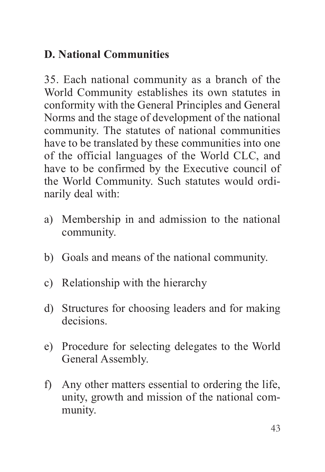## **D. National Communities**

35. Each national community as a branch of the World Community establishes its own statutes in conformity with the General Principles and General Norms and the stage of development of the national community. The statutes of national communities have to be translated by these communities into one of the official languages of the World CLC, and have to be confirmed by the Executive council of the World Community. Such statutes would ordinarily deal with:

- a) Membership in and admission to the national community.
- b) Goals and means of the national community.
- c) Relationship with the hierarchy
- d) Structures for choosing leaders and for making decisions.
- e) Procedure for selecting delegates to the World General Assembly.
- f) Any other matters essential to ordering the life, unity, growth and mission of the national community.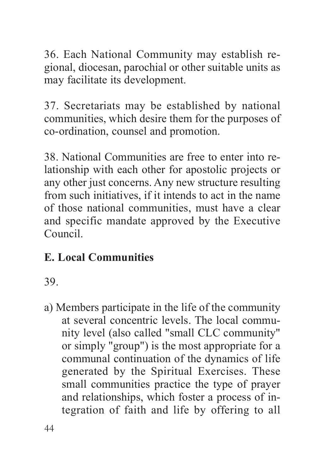36. Each National Community may establish regional, diocesan, parochial or other suitable units as may facilitate its development.

37. Secretariats may be established by national communities, which desire them for the purposes of co-ordination, counsel and promotion.

38. National Communities are free to enter into relationship with each other for apostolic projects or any other just concerns. Any new structure resulting from such initiatives, if it intends to act in the name of those national communities, must have a clear and specific mandate approved by the Executive Council.

## **E. Local Communities**

39.

a) Members participate in the life of the community at several concentric levels. The local community level (also called "small CLC community" or simply "group") is the most appropriate for a communal continuation of the dynamics of life generated by the Spiritual Exercises. These small communities practice the type of prayer and relationships, which foster a process of integration of faith and life by offering to all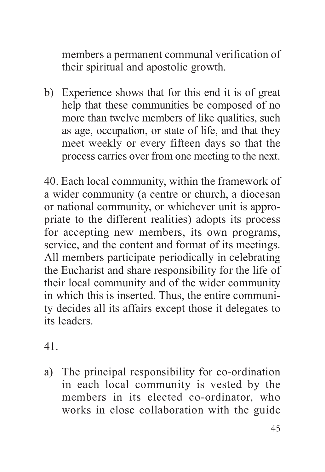members a permanent communal verification of their spiritual and apostolic growth.

b) Experience shows that for this end it is of great help that these communities be composed of no more than twelve members of like qualities, such as age, occupation, or state of life, and that they meet weekly or every fifteen days so that the process carries over from one meeting to the next.

40. Each local community, within the framework of a wider community (a centre or church, a diocesan or national community, or whichever unit is appropriate to the different realities) adopts its process for accepting new members, its own programs, service, and the content and format of its meetings. all members participate periodically in celebrating the Eucharist and share responsibility for the life of their local community and of the wider community in which this is inserted. Thus, the entire community decides all its affairs except those it delegates to its leaders.

41.

a) The principal responsibility for co-ordination in each local community is vested by the members in its elected co-ordinator, who works in close collaboration with the guide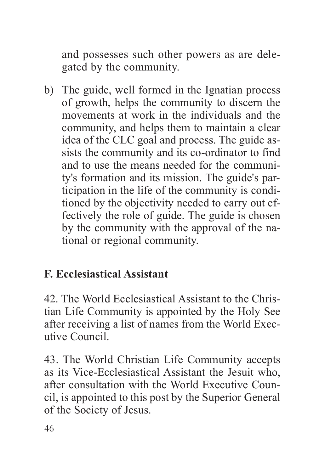and possesses such other powers as are delegated by the community.

b) The guide, well formed in the Ignatian process of growth, helps the community to discern the movements at work in the individuals and the community, and helps them to maintain a clear idea of the CLC goal and process. The guide assists the community and its co-ordinator to find and to use the means needed for the community's formation and its mission. The guide's participation in the life of the community is conditioned by the objectivity needed to carry out effectively the role of guide. The guide is chosen by the community with the approval of the national or regional community.

## **F. Ecclesiastical Assistant**

42. The World Ecclesiastical Assistant to the Christian Life Community is appointed by the Holy See after receiving a list of names from the World Executive Council.

43. the World Christian Life Community accepts as its Vice-Ecclesiastical assistant the Jesuit who, after consultation with the World Executive Council, is appointed to this post by the Superior General of the Society of Jesus.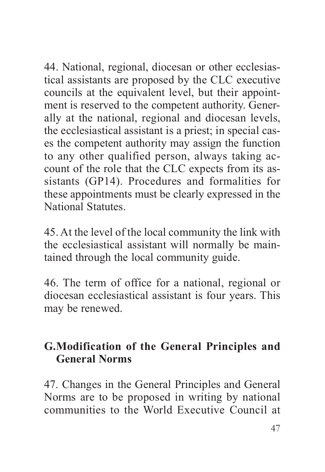44. National, regional, diocesan or other ecclesiastical assistants are proposed by the CLC executive councils at the equivalent level, but their appointment is reserved to the competent authority. Generally at the national, regional and diocesan levels, the ecclesiastical assistant is a priest; in special cases the competent authority may assign the function to any other qualified person, always taking account of the role that the CLC expects from its assistants (GP14). Procedures and formalities for these appointments must be clearly expressed in the National Statutes.

45. at the level of the local community the link with the ecclesiastical assistant will normally be maintained through the local community guide.

46. the term of office for a national, regional or diocesan ecclesiastical assistant is four years. This may be renewed.

## **G.Modification of the General Principles and General Norms**

47. Changes in the General Principles and General Norms are to be proposed in writing by national communities to the World Executive Council at